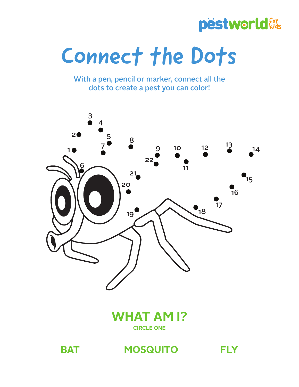### pëstworld for

# Connect the Dots

With a pen, pencil or marker, connect all the dots to create a pest you can color!



#### **WHAT AM I? CIRCLE ONE**

**BAT MOSQUITO FLY**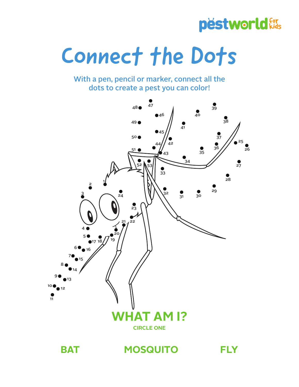#### pëstworld for

## Connect the Dots

With a pen, pencil or marker, connect all the dots to create a pest you can color!